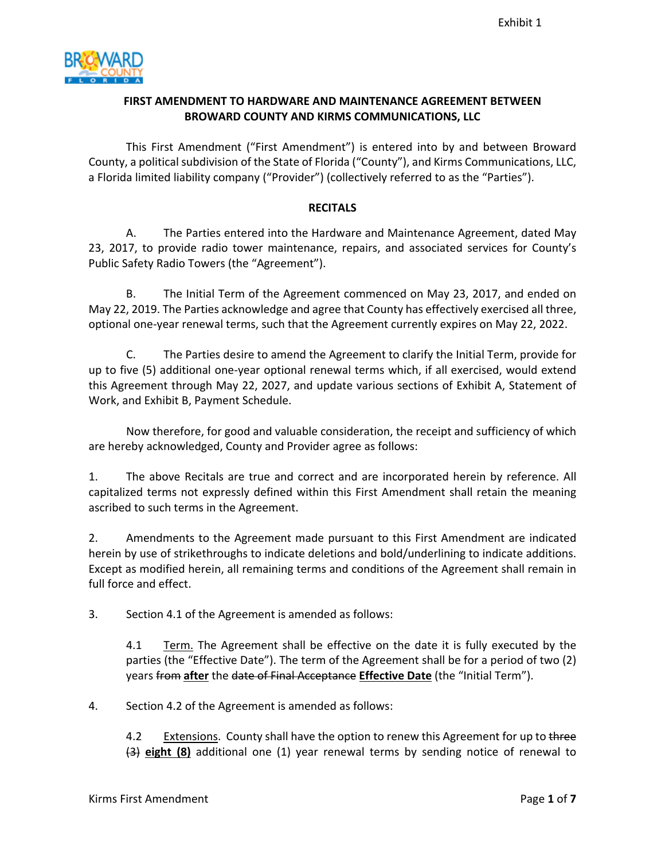

## **FIRST AMENDMENT TO HARDWARE AND MAINTENANCE AGREEMENT BETWEEN BROWARD COUNTY AND KIRMS COMMUNICATIONS, LLC**

This First Amendment ("First Amendment") is entered into by and between Broward County, a political subdivision of the State of Florida ("County"), and Kirms Communications, LLC, a Florida limited liability company ("Provider") (collectively referred to as the "Parties").

#### **RECITALS**

 23, 2017, to provide radio tower maintenance, repairs, and associated services for County's A. The Parties entered into the Hardware and Maintenance Agreement, dated May Public Safety Radio Towers (the "Agreement").

 May 22, 2019. The Parties acknowledge and agree that County has effectively exercised all three, B. The Initial Term of the Agreement commenced on May 23, 2017, and ended on optional one-year renewal terms, such that the Agreement currently expires on May 22, 2022.

 this Agreement through May 22, 2027, and update various sections of Exhibit A, Statement of C. The Parties desire to amend the Agreement to clarify the Initial Term, provide for up to five (5) additional one-year optional renewal terms which, if all exercised, would extend Work, and Exhibit B, Payment Schedule.

Now therefore, for good and valuable consideration, the receipt and sufficiency of which are hereby acknowledged, County and Provider agree as follows:

1. The above Recitals are true and correct and are incorporated herein by reference. All capitalized terms not expressly defined within this First Amendment shall retain the meaning ascribed to such terms in the Agreement.

2. Amendments to the Agreement made pursuant to this First Amendment are indicated herein by use of strikethroughs to indicate deletions and bold/underlining to indicate additions. Except as modified herein, all remaining terms and conditions of the Agreement shall remain in full force and effect.

3. Section 4.1 of the Agreement is amended as follows:

 $4.1$ Term. The Agreement shall be effective on the date it is fully executed by the parties (the "Effective Date"). The term of the Agreement shall be for a period of two (2) years from **after** the date of Final Acceptance **Effective Date** (the "Initial Term").

4. Section 4.2 of the Agreement is amended as follows:

 $4.2$ Extensions. County shall have the option to renew this Agreement for up to three (3) **eight (8)** additional one (1) year renewal terms by sending notice of renewal to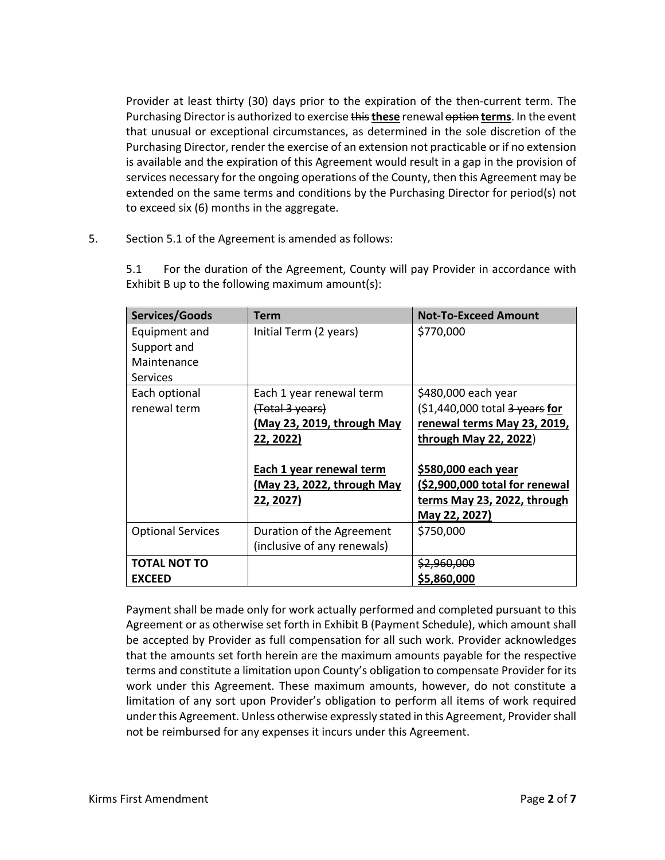Purchasing Director is authorized to exercise this **these** renewal option **terms**. In the event Provider at least thirty (30) days prior to the expiration of the then-current term. The that unusual or exceptional circumstances, as determined in the sole discretion of the Purchasing Director, render the exercise of an extension not practicable or if no extension is available and the expiration of this Agreement would result in a gap in the provision of services necessary for the ongoing operations of the County, then this Agreement may be extended on the same terms and conditions by the Purchasing Director for period(s) not to exceed six (6) months in the aggregate.

5. Section 5.1 of the Agreement is amended as follows:

| Services/Goods           | Term                        | <b>Not-To-Exceed Amount</b>                 |
|--------------------------|-----------------------------|---------------------------------------------|
| Equipment and            | Initial Term (2 years)      | \$770,000                                   |
| Support and              |                             |                                             |
| Maintenance              |                             |                                             |
| <b>Services</b>          |                             |                                             |
| Each optional            | Each 1 year renewal term    | \$480,000 each year                         |
| renewal term             | (Total 3 years)             | $(S1,440,000$ total $\frac{3}{2}$ years for |
|                          | (May 23, 2019, through May  | renewal terms May 23, 2019,                 |
|                          | 22, 2022)                   | through May 22, 2022)                       |
|                          |                             |                                             |
|                          | Each 1 year renewal term    | <u>\$580,000 each year</u>                  |
|                          | (May 23, 2022, through May  | (\$2,900,000 total for renewal              |
|                          | 22, 2027)                   | terms May 23, 2022, through                 |
|                          |                             | May 22, 2027)                               |
| <b>Optional Services</b> | Duration of the Agreement   | \$750,000                                   |
|                          | (inclusive of any renewals) |                                             |
| <b>TOTAL NOT TO</b>      |                             | <u>\$2,960,000</u>                          |
| <b>EXCEED</b>            |                             | \$5,860,000                                 |

5.1 For the duration of the Agreement, County will pay Provider in accordance with Exhibit B up to the following maximum amount(s):

 work under this Agreement. These maximum amounts, however, do not constitute a Payment shall be made only for work actually performed and completed pursuant to this Agreement or as otherwise set forth in Exhibit B (Payment Schedule), which amount shall be accepted by Provider as full compensation for all such work. Provider acknowledges that the amounts set forth herein are the maximum amounts payable for the respective terms and constitute a limitation upon County's obligation to compensate Provider for its limitation of any sort upon Provider's obligation to perform all items of work required under this Agreement. Unless otherwise expressly stated in this Agreement, Provider shall not be reimbursed for any expenses it incurs under this Agreement.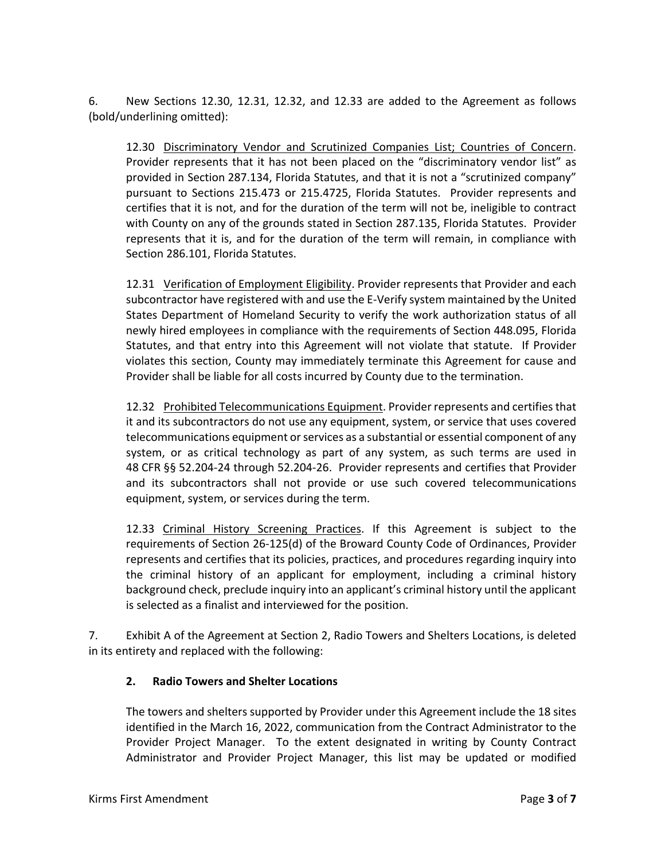6. New Sections 12.30, 12.31, 12.32, and 12.33 are added to the Agreement as follows (bold/underlining omitted):

 provided in Section 287.134, Florida Statutes, and that it is not a "scrutinized company" 12.30 Discriminatory Vendor and Scrutinized Companies List; Countries of Concern. Provider represents that it has not been placed on the "discriminatory vendor list" as pursuant to Sections 215.473 or 215.4725, Florida Statutes. Provider represents and certifies that it is not, and for the duration of the term will not be, ineligible to contract with County on any of the grounds stated in Section 287.135, Florida Statutes. Provider represents that it is, and for the duration of the term will remain, in compliance with Section 286.101, Florida Statutes.

12.31 Verification of Employment Eligibility. Provider represents that Provider and each subcontractor have registered with and use the E-Verify system maintained by the United States Department of Homeland Security to verify the work authorization status of all newly hired employees in compliance with the requirements of Section 448.095, Florida Statutes, and that entry into this Agreement will not violate that statute. If Provider violates this section, County may immediately terminate this Agreement for cause and Provider shall be liable for all costs incurred by County due to the termination.

 it and its subcontractors do not use any equipment, system, or service that uses covered 48 CFR §§ 52.204-24 through 52.204-26. Provider represents and certifies that Provider equipment, system, or services during the term. 12.32 Prohibited Telecommunications Equipment. Provider represents and certifies that telecommunications equipment or services as a substantial or essential component of any system, or as critical technology as part of any system, as such terms are used in and its subcontractors shall not provide or use such covered telecommunications

 represents and certifies that its policies, practices, and procedures regarding inquiry into 12.33 Criminal History Screening Practices. If this Agreement is subject to the requirements of Section 26-125(d) of the Broward County Code of Ordinances, Provider the criminal history of an applicant for employment, including a criminal history background check, preclude inquiry into an applicant's criminal history until the applicant is selected as a finalist and interviewed for the position.

7. Exhibit A of the Agreement at Section 2, Radio Towers and Shelters Locations, is deleted in its entirety and replaced with the following:

#### **2. Radio Towers and Shelter Locations**

 identified in the March 16, 2022, communication from the Contract Administrator to the The towers and shelters supported by Provider under this Agreement include the 18 sites Provider Project Manager. To the extent designated in writing by County Contract Administrator and Provider Project Manager, this list may be updated or modified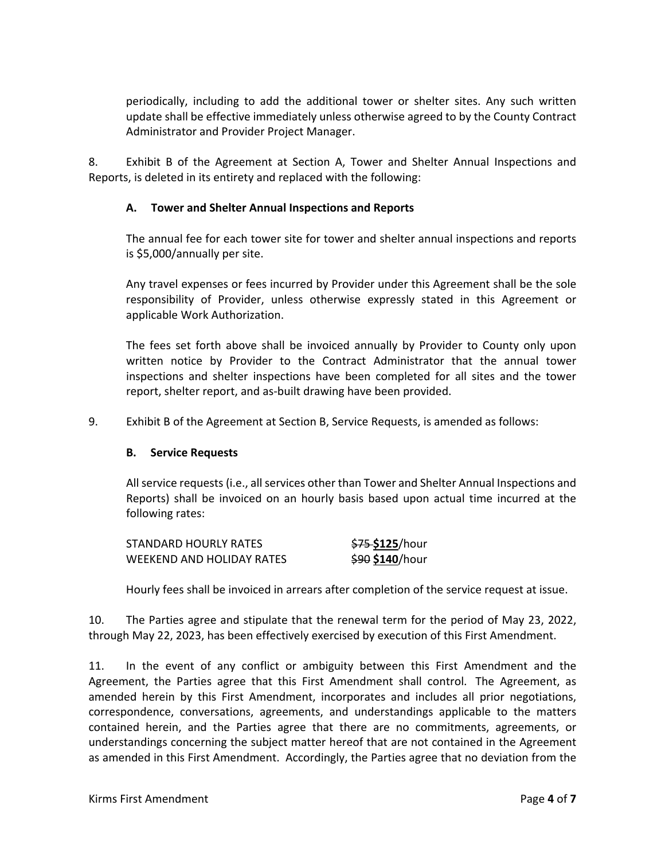periodically, including to add the additional tower or shelter sites. Any such written update shall be effective immediately unless otherwise agreed to by the County Contract Administrator and Provider Project Manager.

8. Exhibit B of the Agreement at Section A, Tower and Shelter Annual Inspections and Reports, is deleted in its entirety and replaced with the following:

### **A. Tower and Shelter Annual Inspections and Reports**

The annual fee for each tower site for tower and shelter annual inspections and reports is \$5,000/annually per site.

Any travel expenses or fees incurred by Provider under this Agreement shall be the sole responsibility of Provider, unless otherwise expressly stated in this Agreement or applicable Work Authorization.

The fees set forth above shall be invoiced annually by Provider to County only upon written notice by Provider to the Contract Administrator that the annual tower inspections and shelter inspections have been completed for all sites and the tower report, shelter report, and as-built drawing have been provided.

9. Exhibit B of the Agreement at Section B, Service Requests, is amended as follows:

#### **B. Service Requests**

All service requests (i.e., all services other than Tower and Shelter Annual Inspections and Reports) shall be invoiced on an hourly basis based upon actual time incurred at the following rates:

| STANDARD HOURLY RATES     | <del>\$75</del> <b>\$125</b> /hour |
|---------------------------|------------------------------------|
| WEEKEND AND HOLIDAY RATES | <del>\$90</del> <b>\$140</b> /hour |

Hourly fees shall be invoiced in arrears after completion of the service request at issue.

 10. The Parties agree and stipulate that the renewal term for the period of May 23, 2022, through May 22, 2023, has been effectively exercised by execution of this First Amendment.

 as amended in this First Amendment. Accordingly, the Parties agree that no deviation from the 11. In the event of any conflict or ambiguity between this First Amendment and the Agreement, the Parties agree that this First Amendment shall control. The Agreement, as amended herein by this First Amendment, incorporates and includes all prior negotiations, correspondence, conversations, agreements, and understandings applicable to the matters contained herein, and the Parties agree that there are no commitments, agreements, or understandings concerning the subject matter hereof that are not contained in the Agreement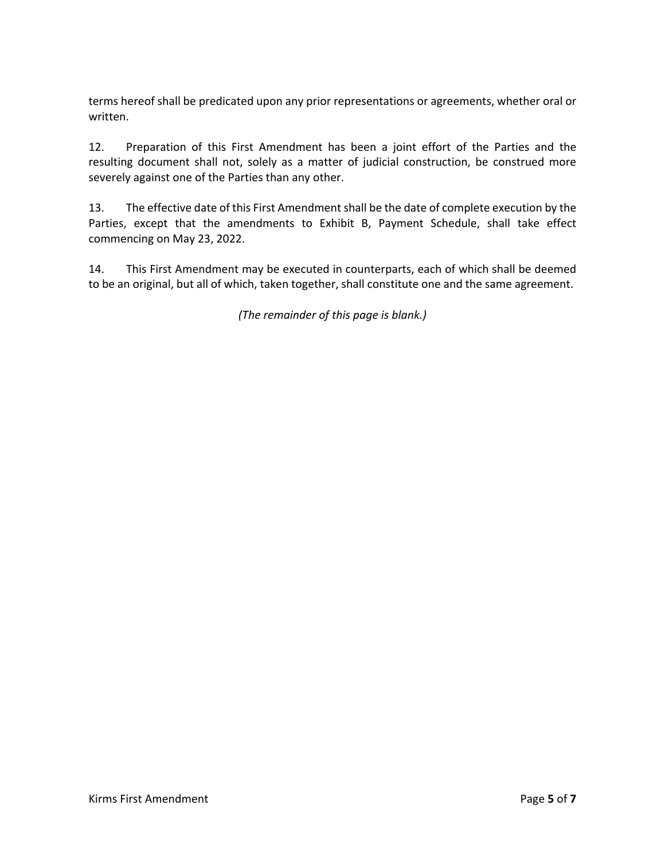terms hereof shall be predicated upon any prior representations or agreements, whether oral or written.

12. Preparation of this First Amendment has been a joint effort of the Parties and the resulting document shall not, solely as a matter of judicial construction, be construed more severely against one of the Parties than any other.

13. The effective date of this First Amendment shall be the date of complete execution by the Parties, except that the amendments to Exhibit B, Payment Schedule, shall take effect commencing on May 23, 2022.

 to be an original, but all of which, taken together, shall constitute one and the same agreement. 14. This First Amendment may be executed in counterparts, each of which shall be deemed

*(The remainder of this page is blank.)*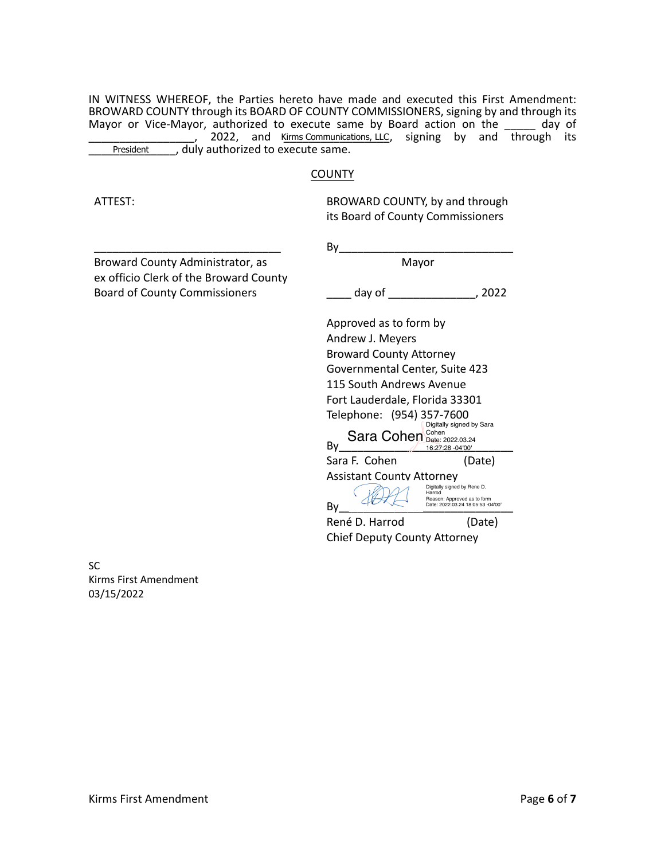IN WITNESS WHEREOF, the Parties hereto have made and executed this First Amendment: BROWARD COUNTY through its BOARD OF COUNTY COMMISSIONERS, signing by and through its Mayor or Vice-Mayor, authorized to execute same by Board action on the day of 2022, and Kirms Communications, LLC, signing by and through its President duly authorized to execute same. , duly authorized to execute same.

#### **COUNTY**

ATTEST:

BROWARD COUNTY, by and through its Board of County Commissioners

Broward County Administrator, as ex officio Clerk of the Broward County Board of County Commissioners

\_\_\_\_\_\_\_\_\_\_\_\_\_\_\_\_\_\_\_\_\_\_\_\_\_\_\_\_\_\_

 $By$ Mayor

\_\_\_\_ day of \_\_\_\_\_\_\_\_\_\_\_\_\_\_, 2022

 Telephone: (954) 357-7600 Sara F. Cohen (Date) Assistant County Attorney René D. Harrod (Date)  $\mathsf{By} \text{ \textcolor{red}{\sum_{i=1}^{n} 16:27:28-04'00' }}$ Approved as to form by Andrew J. Meyers Broward County Attorney Governmental Center, Suite 423 115 South Andrews Avenue Fort Lauderdale, Florida 33301 Digitally signed by Sara Sara Cohen Cohen [2022.03.24](https://2022.03.24) By AUX Reason: Approved as to form<br>
Date: 2022.03.24 18:05:53 -04'00' Digitally signed by Rene D. Harrod

Chief Deputy County Attorney

 Kirms First Amendment SC 03/15/2022